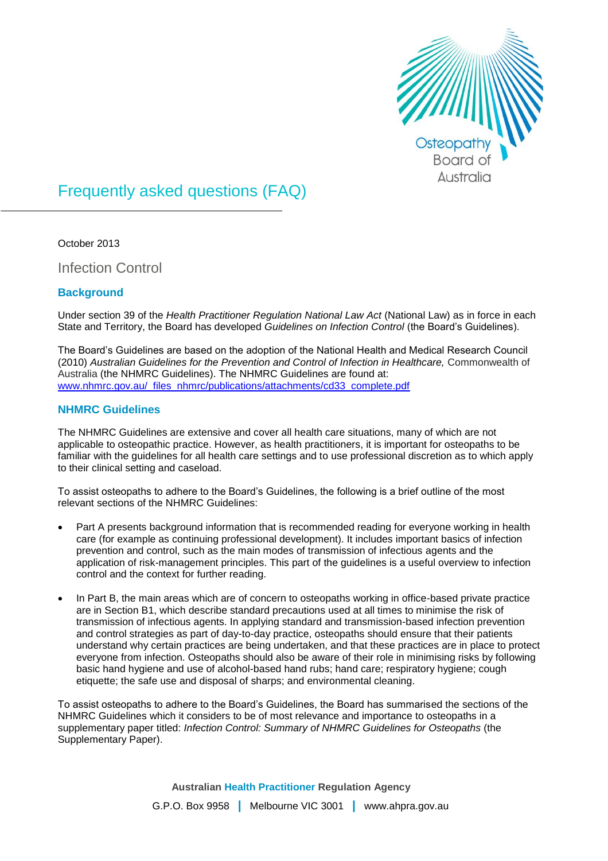

# Frequently asked questions (FAQ)

October 2013

Infection Control

# **Background**

Under section 39 of the *Health Practitioner Regulation National Law Act* (National Law) as in force in each State and Territory, the Board has developed *Guidelines on Infection Control* (the Board's Guidelines).

The Board's Guidelines are based on the adoption of the National Health and Medical Research Council (2010) Australian Guidelines for the Prevention and Control of Infection in Healthcare, Commonwealth of Australia (the NHMRC Guidelines). The NHMRC Guidelines are found at: [www.nhmrc.gov.au/\\_files\\_nhmrc/publications/attachments/cd33\\_complete.pdf](http://www.nhmrc.gov.au/_files_nhmrc/publications/attachments/cd33_complete.pdf)

## **NHMRC Guidelines**

The NHMRC Guidelines are extensive and cover all health care situations, many of which are not applicable to osteopathic practice. However, as health practitioners, it is important for osteopaths to be familiar with the guidelines for all health care settings and to use professional discretion as to which apply to their clinical setting and caseload.

To assist osteopaths to adhere to the Board's Guidelines, the following is a brief outline of the most relevant sections of the NHMRC Guidelines:

- Part A presents background information that is recommended reading for everyone working in health care (for example as continuing professional development). It includes important basics of infection prevention and control, such as the main modes of transmission of infectious agents and the application of risk-management principles. This part of the guidelines is a useful overview to infection control and the context for further reading.
- In Part B, the main areas which are of concern to osteopaths working in office-based private practice are in Section B1, which describe standard precautions used at all times to minimise the risk of transmission of infectious agents. In applying standard and transmission-based infection prevention and control strategies as part of day-to-day practice, osteopaths should ensure that their patients understand why certain practices are being undertaken, and that these practices are in place to protect everyone from infection. Osteopaths should also be aware of their role in minimising risks by following basic hand hygiene and use of alcohol-based hand rubs; hand care; respiratory hygiene; cough etiquette; the safe use and disposal of sharps; and environmental cleaning.

To assist osteopaths to adhere to the Board's Guidelines, the Board has summarised the sections of the NHMRC Guidelines which it considers to be of most relevance and importance to osteopaths in a supplementary paper titled: *Infection Control: Summary of NHMRC Guidelines for Osteopaths* (the Supplementary Paper).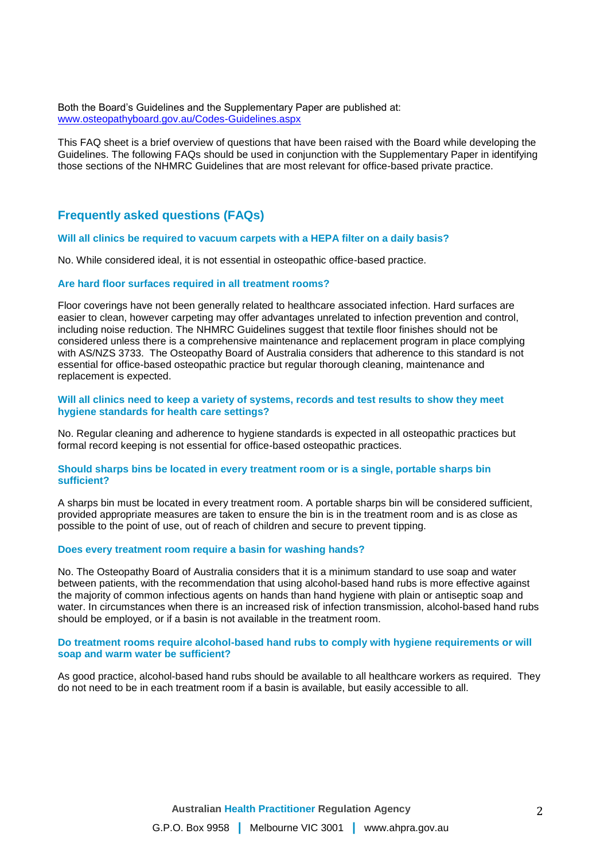Both the Board's Guidelines and the Supplementary Paper are published at: [www.osteopathyboard.gov.au/Codes-Guidelines.aspx](file:///C:/Users/tajohnson/AppData/Local/Temp/Cherwell/www.osteopathyboard.gov.au/Codes-Guidelines.aspx)

This FAQ sheet is a brief overview of questions that have been raised with the Board while developing the Guidelines. The following FAQs should be used in conjunction with the Supplementary Paper in identifying those sections of the NHMRC Guidelines that are most relevant for office-based private practice.

# **Frequently asked questions (FAQs)**

#### **Will all clinics be required to vacuum carpets with a HEPA filter on a daily basis?**

No. While considered ideal, it is not essential in osteopathic office-based practice.

#### **Are hard floor surfaces required in all treatment rooms?**

Floor coverings have not been generally related to healthcare associated infection. Hard surfaces are easier to clean, however carpeting may offer advantages unrelated to infection prevention and control, including noise reduction. The NHMRC Guidelines suggest that textile floor finishes should not be considered unless there is a comprehensive maintenance and replacement program in place complying with AS/NZS 3733. The Osteopathy Board of Australia considers that adherence to this standard is not essential for office-based osteopathic practice but regular thorough cleaning, maintenance and replacement is expected.

**Will all clinics need to keep a variety of systems, records and test results to show they meet hygiene standards for health care settings?**

No. Regular cleaning and adherence to hygiene standards is expected in all osteopathic practices but formal record keeping is not essential for office-based osteopathic practices.

#### **Should sharps bins be located in every treatment room or is a single, portable sharps bin sufficient?**

A sharps bin must be located in every treatment room. A portable sharps bin will be considered sufficient, provided appropriate measures are taken to ensure the bin is in the treatment room and is as close as possible to the point of use, out of reach of children and secure to prevent tipping.

#### **Does every treatment room require a basin for washing hands?**

No. The Osteopathy Board of Australia considers that it is a minimum standard to use soap and water between patients, with the recommendation that using alcohol-based hand rubs is more effective against the majority of common infectious agents on hands than hand hygiene with plain or antiseptic soap and water. In circumstances when there is an increased risk of infection transmission, alcohol-based hand rubs should be employed, or if a basin is not available in the treatment room.

## **Do treatment rooms require alcohol-based hand rubs to comply with hygiene requirements or will soap and warm water be sufficient?**

As good practice, alcohol-based hand rubs should be available to all healthcare workers as required. They do not need to be in each treatment room if a basin is available, but easily accessible to all.